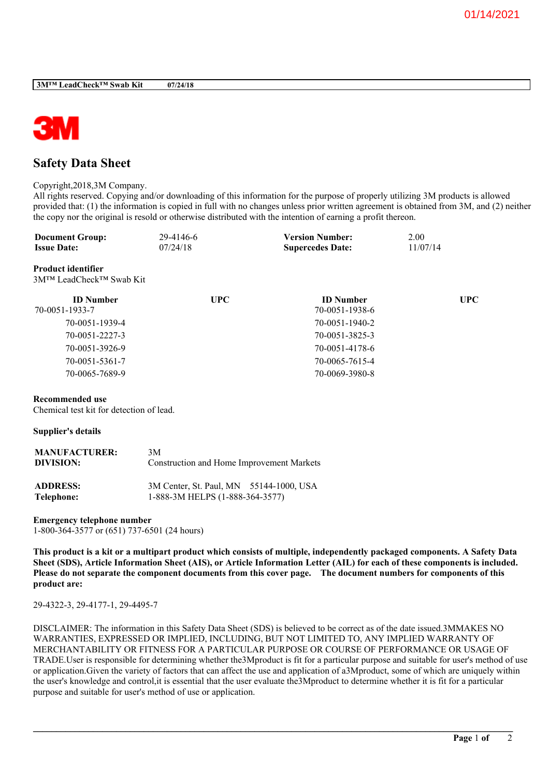

# **Safety Data Sheet**

Copyright,2018,3M Company.

All rights reserved. Copying and/or downloading of this information for the purpose of properly utilizing 3M products is allowed provided that: (1) the information is copied in full with no changes unless prior written agreement is obtained from 3M, and (2) neither the copy nor the original is resold or otherwise distributed with the intention of earning a profit thereon.

| <b>Document Group:</b> | 29-4146-6 | <b>Version Number:</b>  | 2.00     |
|------------------------|-----------|-------------------------|----------|
| <b>Issue Date:</b>     | 07/24/18  | <b>Supercedes Date:</b> | 11/07/14 |

**Product identifier** 3M™ LeadCheck™ Swab Kit

| <b>ID</b> Number | <b>UPC</b> | <b>ID</b> Number | <b>UPC</b> |
|------------------|------------|------------------|------------|
| 70-0051-1933-7   |            | 70-0051-1938-6   |            |
| 70-0051-1939-4   |            | 70-0051-1940-2   |            |
| 70-0051-2227-3   |            | 70-0051-3825-3   |            |
| 70-0051-3926-9   |            | 70-0051-4178-6   |            |
| 70-0051-5361-7   |            | 70-0065-7615-4   |            |
| 70-0065-7689-9   |            | 70-0069-3980-8   |            |

### **Recommended use**

Chemical test kit for detection of lead.

#### **Supplier's details**

| <b>MANUFACTURER:</b> | 3M                                        |  |  |
|----------------------|-------------------------------------------|--|--|
| DIVISION:            | Construction and Home Improvement Markets |  |  |
| <b>ADDRESS:</b>      | 3M Center, St. Paul, MN 55144-1000, USA   |  |  |
| Telephone:           | 1-888-3M HELPS (1-888-364-3577)           |  |  |

# **Emergency telephone number**

1-800-364-3577 or (651) 737-6501 (24 hours)

This product is a kit or a multipart product which consists of multiple, independently packaged components. A Safety Data Sheet (SDS), Article Information Sheet (AIS), or Article Information Letter (AIL) for each of these components is included. Please do not separate the component documents from this cover page. The document numbers for components of this **product are:**

29-4322-3, 29-4177-1, 29-4495-7

DISCLAIMER: The information in this Safety Data Sheet (SDS) is believed to be correct as of the date issued.3MMAKES NO WARRANTIES, EXPRESSED OR IMPLIED, INCLUDING, BUT NOT LIMITED TO, ANY IMPLIED WARRANTY OF MERCHANTABILITY OR FITNESS FOR A PARTICULAR PURPOSE OR COURSE OF PERFORMANCE OR USAGE OF TRADE.User is responsible for determining whether the3Mproduct is fit for a particular purpose and suitable for user's method of use or application.Given the variety of factors that can affect the use and application of a3Mproduct, some of which are uniquely within the user's knowledge and control,it is essential that the user evaluate the3Mproduct to determine whether it is fit for a particular purpose and suitable for user's method of use or application.

**\_\_\_\_\_\_\_\_\_\_\_\_\_\_\_\_\_\_\_\_\_\_\_\_\_\_\_\_\_\_\_\_\_\_\_\_\_\_\_\_\_\_\_\_\_\_\_\_\_\_\_\_\_\_\_\_\_\_\_\_\_\_\_\_\_\_\_\_\_\_\_\_\_\_\_\_\_\_\_\_\_\_\_\_\_\_\_\_\_\_\_\_\_\_\_\_\_\_\_\_\_\_\_\_**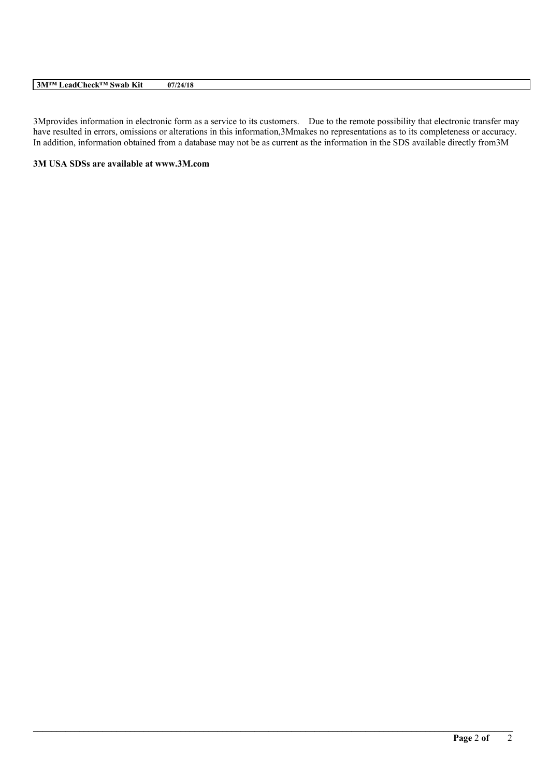# **3M™ LeadCheck™ Swab Kit 07/24/18**

3Mprovides information in electronic form as a service to its customers. Due to the remote possibility that electronic transfer may have resulted in errors, omissions or alterations in this information,3Mmakes no representations as to its completeness or accuracy. In addition, information obtained from a database may not be as current as the information in the SDS available directly from3M

**\_\_\_\_\_\_\_\_\_\_\_\_\_\_\_\_\_\_\_\_\_\_\_\_\_\_\_\_\_\_\_\_\_\_\_\_\_\_\_\_\_\_\_\_\_\_\_\_\_\_\_\_\_\_\_\_\_\_\_\_\_\_\_\_\_\_\_\_\_\_\_\_\_\_\_\_\_\_\_\_\_\_\_\_\_\_\_\_\_\_\_\_\_\_\_\_\_\_\_\_\_\_\_\_**

# **3M USA SDSs are available at www.3M.com**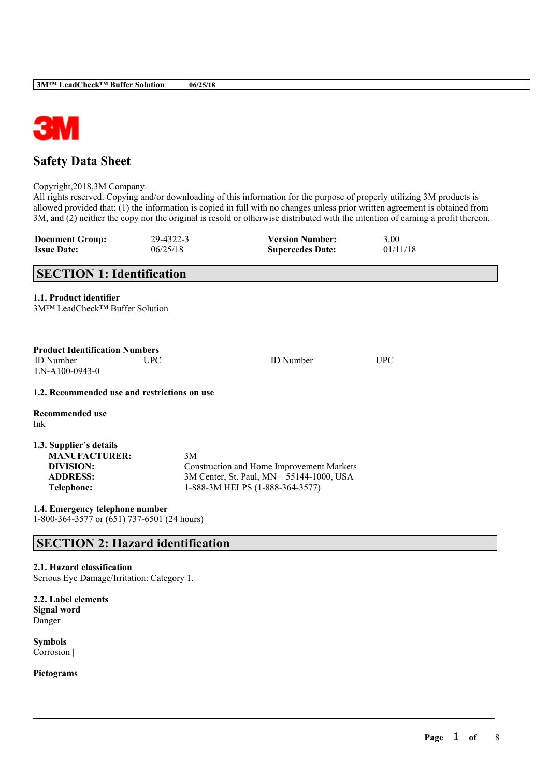

# **Safety Data Sheet**

Copyright,2018,3M Company.

All rights reserved. Copying and/or downloading of this information for the purpose of properly utilizing 3M products is allowed provided that: (1) the information is copied in full with no changes unless prior written agreement is obtained from 3M, and (2) neither the copy nor the original is resold or otherwise distributed with the intention of earning a profit thereon.

| <b>Document Group:</b> | 29-4322-3 | <b>Version Number:</b>  | 3.00     |
|------------------------|-----------|-------------------------|----------|
| <b>Issue Date:</b>     | 06/25/18  | <b>Supercedes Date:</b> | 01/11/18 |

| <b>SECTION 1: Identification</b>                                                                     |            |                                                                                                                         |            |
|------------------------------------------------------------------------------------------------------|------------|-------------------------------------------------------------------------------------------------------------------------|------------|
| 1.1. Product identifier<br>3M™ LeadCheck™ Buffer Solution                                            |            |                                                                                                                         |            |
| <b>Product Identification Numbers</b><br><b>ID</b> Number<br>LN-A100-0943-0                          | <b>UPC</b> | <b>ID</b> Number                                                                                                        | <b>UPC</b> |
| 1.2. Recommended use and restrictions on use                                                         |            |                                                                                                                         |            |
| <b>Recommended use</b><br>Ink                                                                        |            |                                                                                                                         |            |
| 1.3. Supplier's details<br><b>MANUFACTURER:</b><br>DIVISION:<br><b>ADDRESS:</b><br><b>Telephone:</b> | 3M         | Construction and Home Improvement Markets<br>3M Center, St. Paul, MN 55144-1000, USA<br>1-888-3M HELPS (1-888-364-3577) |            |
| 1.4. Emergency telephone number                                                                      |            |                                                                                                                         |            |

 $\mathcal{L}_\mathcal{L} = \mathcal{L}_\mathcal{L} = \mathcal{L}_\mathcal{L} = \mathcal{L}_\mathcal{L} = \mathcal{L}_\mathcal{L} = \mathcal{L}_\mathcal{L} = \mathcal{L}_\mathcal{L} = \mathcal{L}_\mathcal{L} = \mathcal{L}_\mathcal{L} = \mathcal{L}_\mathcal{L} = \mathcal{L}_\mathcal{L} = \mathcal{L}_\mathcal{L} = \mathcal{L}_\mathcal{L} = \mathcal{L}_\mathcal{L} = \mathcal{L}_\mathcal{L} = \mathcal{L}_\mathcal{L} = \mathcal{L}_\mathcal{L}$ 

1-800-364-3577 or (651) 737-6501 (24 hours)

# **SECTION 2: Hazard identification**

# **2.1. Hazard classification**

Serious Eye Damage/Irritation: Category 1.

**2.2. Label elements Signal word** Danger

**Symbols** Corrosion |

**Pictograms**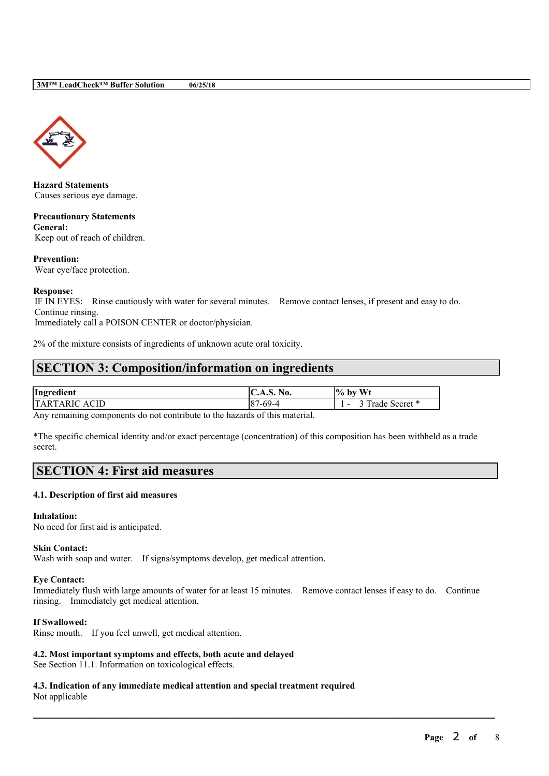

**Hazard Statements** Causes serious eye damage.

**Precautionary Statements General:** Keep out of reach of children.

**Prevention:** Wear eye/face protection.

# **Response:**

IF IN EYES: Rinse cautiously with water for several minutes. Remove contact lenses, if present and easy to do. Continue rinsing.

Immediately call a POISON CENTER or doctor/physician.

2% of the mixture consists of ingredients of unknown acute oral toxicity.

# **SECTION 3: Composition/information on ingredients**

| Ingredient     | C.A.S. No.      | <b>Wt</b><br>$\frac{10}{6}$<br>by          |
|----------------|-----------------|--------------------------------------------|
| TAR.<br>C ACID | 1-69-4<br>$-87$ | $\sim$ m<br>$\sim$ secret $*$<br>rade<br>- |

Any remaining components do not contribute to the hazards of this material.

\*The specific chemical identity and/or exact percentage (concentration) of this composition has been withheld as a trade secret.

# **SECTION 4: First aid measures**

# **4.1. Description of first aid measures**

#### **Inhalation:**

No need for first aid is anticipated.

# **Skin Contact:**

Wash with soap and water. If signs/symptoms develop, get medical attention.

#### **Eye Contact:**

Immediately flush with large amounts of water for at least 15 minutes. Remove contact lenses if easy to do. Continue rinsing. Immediately get medical attention.

 $\mathcal{L}_\mathcal{L} = \mathcal{L}_\mathcal{L} = \mathcal{L}_\mathcal{L} = \mathcal{L}_\mathcal{L} = \mathcal{L}_\mathcal{L} = \mathcal{L}_\mathcal{L} = \mathcal{L}_\mathcal{L} = \mathcal{L}_\mathcal{L} = \mathcal{L}_\mathcal{L} = \mathcal{L}_\mathcal{L} = \mathcal{L}_\mathcal{L} = \mathcal{L}_\mathcal{L} = \mathcal{L}_\mathcal{L} = \mathcal{L}_\mathcal{L} = \mathcal{L}_\mathcal{L} = \mathcal{L}_\mathcal{L} = \mathcal{L}_\mathcal{L}$ 

### **If Swallowed:**

Rinse mouth. If you feel unwell, get medical attention.

# **4.2. Most important symptoms and effects, both acute and delayed**

See Section 11.1. Information on toxicological effects.

**4.3. Indication of any immediate medical attention and special treatment required** Not applicable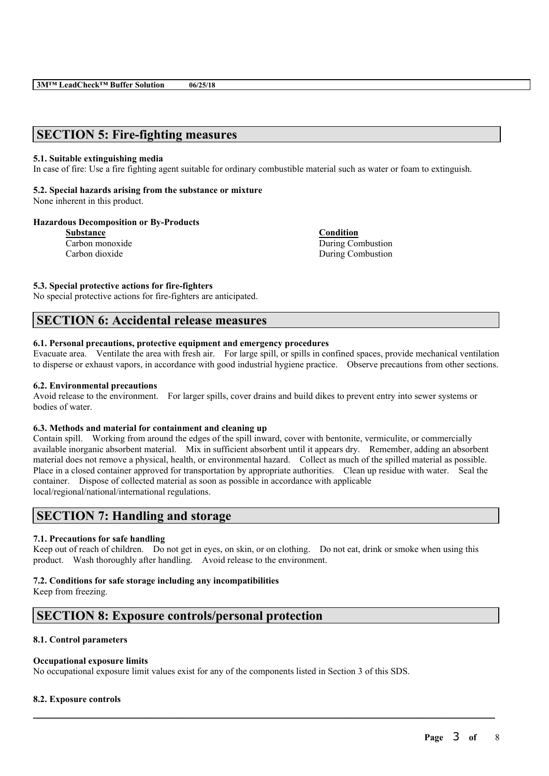# **SECTION 5: Fire-fighting measures**

#### **5.1. Suitable extinguishing media**

In case of fire: Use a fire fighting agent suitable for ordinary combustible material such as water or foam to extinguish.

# **5.2. Special hazards arising from the substance or mixture**

None inherent in this product.

#### **Hazardous Decomposition or By-Products**

**Substance Condition**

Carbon monoxide During Combustion Carbon dioxide During Combustion

**5.3. Special protective actions for fire-fighters**

No special protective actions for fire-fighters are anticipated.

# **SECTION 6: Accidental release measures**

# **6.1. Personal precautions, protective equipment and emergency procedures**

Evacuate area. Ventilate the area with fresh air. For large spill, or spills in confined spaces, provide mechanical ventilation to disperse or exhaust vapors, in accordance with good industrial hygiene practice. Observe precautions from other sections.

### **6.2. Environmental precautions**

Avoid release to the environment. For larger spills, cover drains and build dikes to prevent entry into sewer systems or bodies of water.

# **6.3. Methods and material for containment and cleaning up**

Contain spill. Working from around the edges of the spill inward, cover with bentonite, vermiculite, or commercially available inorganic absorbent material. Mix in sufficient absorbent until it appears dry. Remember, adding an absorbent material does not remove a physical, health, or environmental hazard. Collect as much of the spilled material as possible. Place in a closed container approved for transportation by appropriate authorities. Clean up residue with water. Seal the container. Dispose of collected material as soon as possible in accordance with applicable local/regional/national/international regulations.

# **SECTION 7: Handling and storage**

# **7.1. Precautions for safe handling**

Keep out of reach of children. Do not get in eyes, on skin, or on clothing. Do not eat, drink or smoke when using this product. Wash thoroughly after handling. Avoid release to the environment.

 $\mathcal{L}_\mathcal{L} = \mathcal{L}_\mathcal{L} = \mathcal{L}_\mathcal{L} = \mathcal{L}_\mathcal{L} = \mathcal{L}_\mathcal{L} = \mathcal{L}_\mathcal{L} = \mathcal{L}_\mathcal{L} = \mathcal{L}_\mathcal{L} = \mathcal{L}_\mathcal{L} = \mathcal{L}_\mathcal{L} = \mathcal{L}_\mathcal{L} = \mathcal{L}_\mathcal{L} = \mathcal{L}_\mathcal{L} = \mathcal{L}_\mathcal{L} = \mathcal{L}_\mathcal{L} = \mathcal{L}_\mathcal{L} = \mathcal{L}_\mathcal{L}$ 

#### **7.2. Conditions for safe storage including any incompatibilities**

Keep from freezing.

# **SECTION 8: Exposure controls/personal protection**

# **8.1. Control parameters**

#### **Occupational exposure limits**

No occupational exposure limit values exist for any of the components listed in Section 3 of this SDS.

# **8.2. Exposure controls**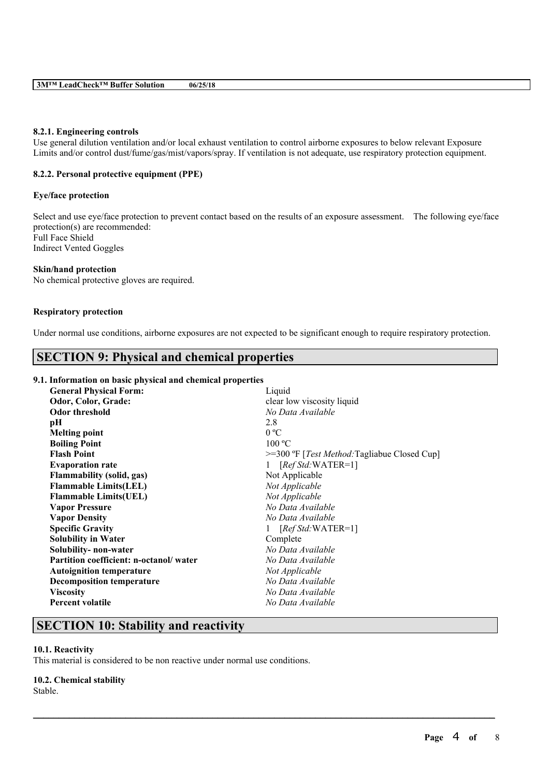# **8.2.1. Engineering controls**

Use general dilution ventilation and/or local exhaust ventilation to control airborne exposures to below relevant Exposure Limits and/or control dust/fume/gas/mist/vapors/spray. If ventilation is not adequate, use respiratory protection equipment.

### **8.2.2. Personal protective equipment (PPE)**

#### **Eye/face protection**

Select and use eye/face protection to prevent contact based on the results of an exposure assessment. The following eye/face protection(s) are recommended: Full Face Shield Indirect Vented Goggles

#### **Skin/hand protection**

No chemical protective gloves are required.

#### **Respiratory protection**

Under normal use conditions, airborne exposures are not expected to be significant enough to require respiratory protection.

# **SECTION 9: Physical and chemical properties**

# **9.1. Information on basic physical and chemical properties**

| <b>General Physical Form:</b>          | Liquid                                                  |
|----------------------------------------|---------------------------------------------------------|
| Odor, Color, Grade:                    | clear low viscosity liquid                              |
| Odor threshold                         | No Data Available                                       |
| pН                                     | 2.8                                                     |
| <b>Melting point</b>                   | 0 °C                                                    |
| <b>Boiling Point</b>                   | 100 °C                                                  |
| <b>Flash Point</b>                     | $>=$ 300 °F [ <i>Test Method:</i> Tagliabue Closed Cup] |
| <b>Evaporation rate</b>                | $[RefStd:WATER=1]$<br>$\mathbf{1}$                      |
| <b>Flammability (solid, gas)</b>       | Not Applicable                                          |
| <b>Flammable Limits(LEL)</b>           | Not Applicable                                          |
| <b>Flammable Limits(UEL)</b>           | Not Applicable                                          |
| <b>Vapor Pressure</b>                  | No Data Available                                       |
| <b>Vapor Density</b>                   | No Data Available                                       |
| <b>Specific Gravity</b>                | $[RefStd:WATER=1]$                                      |
| <b>Solubility in Water</b>             | Complete                                                |
| Solubility- non-water                  | No Data Available                                       |
| Partition coefficient: n-octanol/water | No Data Available                                       |
| <b>Autoignition temperature</b>        | Not Applicable                                          |
| <b>Decomposition temperature</b>       | No Data Available                                       |
| <b>Viscosity</b>                       | No Data Available                                       |
| <b>Percent volatile</b>                | No Data Available                                       |
|                                        |                                                         |

 $\mathcal{L}_\mathcal{L} = \mathcal{L}_\mathcal{L} = \mathcal{L}_\mathcal{L} = \mathcal{L}_\mathcal{L} = \mathcal{L}_\mathcal{L} = \mathcal{L}_\mathcal{L} = \mathcal{L}_\mathcal{L} = \mathcal{L}_\mathcal{L} = \mathcal{L}_\mathcal{L} = \mathcal{L}_\mathcal{L} = \mathcal{L}_\mathcal{L} = \mathcal{L}_\mathcal{L} = \mathcal{L}_\mathcal{L} = \mathcal{L}_\mathcal{L} = \mathcal{L}_\mathcal{L} = \mathcal{L}_\mathcal{L} = \mathcal{L}_\mathcal{L}$ 

# **SECTION 10: Stability and reactivity**

# **10.1. Reactivity**

This material is considered to be non reactive under normal use conditions.

# **10.2. Chemical stability**

Stable.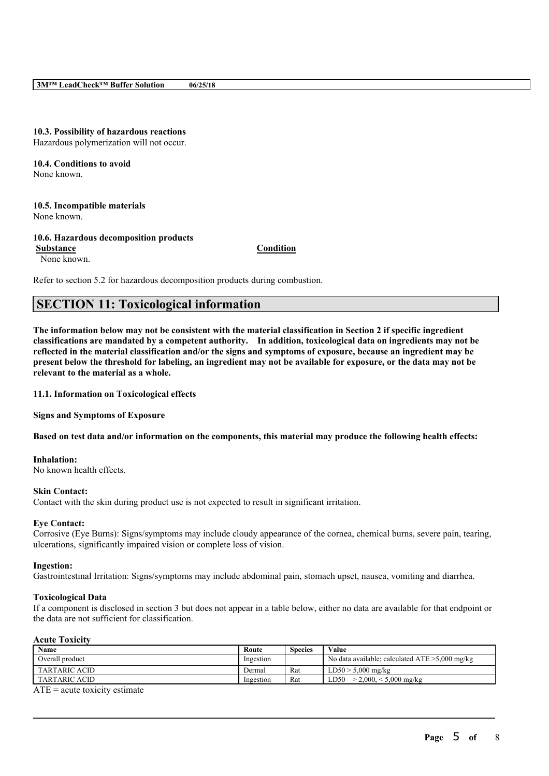# **10.3. Possibility of hazardous reactions**

Hazardous polymerization will not occur.

**10.4. Conditions to avoid** None known.

# **10.5. Incompatible materials**

None known.

# **10.6. Hazardous decomposition products**

**Substance Condition**

None known.

Refer to section 5.2 for hazardous decomposition products during combustion.

# **SECTION 11: Toxicological information**

The information below may not be consistent with the material classification in Section 2 if specific ingredient **classifications are mandated by a competent authority. In addition, toxicological data on ingredients may not be** reflected in the material classification and/or the signs and symptoms of exposure, because an ingredient may be present below the threshold for labeling, an ingredient may not be available for exposure, or the data may not be **relevant to the material as a whole.**

**11.1. Information on Toxicological effects**

**Signs and Symptoms of Exposure**

Based on test data and/or information on the components, this material may produce the following health effects:

# **Inhalation:**

No known health effects.

# **Skin Contact:**

Contact with the skin during product use is not expected to result in significant irritation.

# **Eye Contact:**

Corrosive (Eye Burns): Signs/symptoms may include cloudy appearance of the cornea, chemical burns, severe pain, tearing, ulcerations, significantly impaired vision or complete loss of vision.

# **Ingestion:**

Gastrointestinal Irritation: Signs/symptoms may include abdominal pain, stomach upset, nausea, vomiting and diarrhea.

# **Toxicological Data**

If a component is disclosed in section 3 but does not appear in a table below, either no data are available for that endpoint or the data are not sufficient for classification.

# **Acute Toxicity**

| Name                 | Route     | Species | Value                                             |
|----------------------|-----------|---------|---------------------------------------------------|
| Overall product      | Ingestion |         | No data available; calculated $ATE > 5,000$ mg/kg |
| <b>TARTARIC ACID</b> | ⊃ermal    | Rat     | $LD50 > 5,000$ mg/kg                              |
| <b>TARTARIC ACID</b> | Ingestion | Rat     | $> 2.000 < 5.000$ mg/kg<br>LD50.                  |

 $\mathcal{L}_\mathcal{L} = \mathcal{L}_\mathcal{L} = \mathcal{L}_\mathcal{L} = \mathcal{L}_\mathcal{L} = \mathcal{L}_\mathcal{L} = \mathcal{L}_\mathcal{L} = \mathcal{L}_\mathcal{L} = \mathcal{L}_\mathcal{L} = \mathcal{L}_\mathcal{L} = \mathcal{L}_\mathcal{L} = \mathcal{L}_\mathcal{L} = \mathcal{L}_\mathcal{L} = \mathcal{L}_\mathcal{L} = \mathcal{L}_\mathcal{L} = \mathcal{L}_\mathcal{L} = \mathcal{L}_\mathcal{L} = \mathcal{L}_\mathcal{L}$ 

 $ATE = acute$  toxicity estimate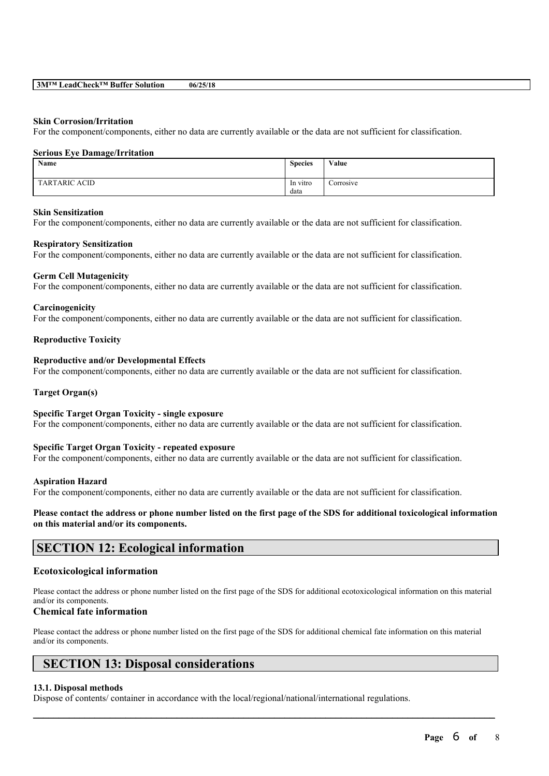#### **Skin Corrosion/Irritation**

For the component/components, either no data are currently available or the data are not sufficient for classification.

#### **Serious Eye Damage/Irritation**

| Name                 | <b>Species</b> | Value               |
|----------------------|----------------|---------------------|
| <b>TARTARIC ACID</b> | In vitro       | $\sim$<br>Corrosive |
|                      | data           |                     |

#### **Skin Sensitization**

For the component/components, either no data are currently available or the data are not sufficient for classification.

#### **Respiratory Sensitization**

For the component/components, either no data are currently available or the data are not sufficient for classification.

#### **Germ Cell Mutagenicity**

For the component/components, either no data are currently available or the data are not sufficient for classification.

#### **Carcinogenicity**

For the component/components, either no data are currently available or the data are not sufficient for classification.

#### **Reproductive Toxicity**

### **Reproductive and/or Developmental Effects**

For the component/components, either no data are currently available or the data are not sufficient for classification.

#### **Target Organ(s)**

#### **Specific Target Organ Toxicity - single exposure**

For the component/components, either no data are currently available or the data are not sufficient for classification.

#### **Specific Target Organ Toxicity - repeated exposure**

For the component/components, either no data are currently available or the data are not sufficient for classification.

#### **Aspiration Hazard**

For the component/components, either no data are currently available or the data are not sufficient for classification.

# Please contact the address or phone number listed on the first page of the SDS for additional toxicological information **on this material and/or its components.**

# **SECTION 12: Ecological information**

# **Ecotoxicological information**

Please contact the address or phone number listed on the first page of the SDS for additional ecotoxicological information on this material and/or its components.

# **Chemical fate information**

Please contact the address or phone number listed on the first page of the SDS for additional chemical fate information on this material and/or its components.

 $\mathcal{L}_\mathcal{L} = \mathcal{L}_\mathcal{L} = \mathcal{L}_\mathcal{L} = \mathcal{L}_\mathcal{L} = \mathcal{L}_\mathcal{L} = \mathcal{L}_\mathcal{L} = \mathcal{L}_\mathcal{L} = \mathcal{L}_\mathcal{L} = \mathcal{L}_\mathcal{L} = \mathcal{L}_\mathcal{L} = \mathcal{L}_\mathcal{L} = \mathcal{L}_\mathcal{L} = \mathcal{L}_\mathcal{L} = \mathcal{L}_\mathcal{L} = \mathcal{L}_\mathcal{L} = \mathcal{L}_\mathcal{L} = \mathcal{L}_\mathcal{L}$ 

# **SECTION 13: Disposal considerations**

# **13.1. Disposal methods**

Dispose of contents/ container in accordance with the local/regional/national/international regulations.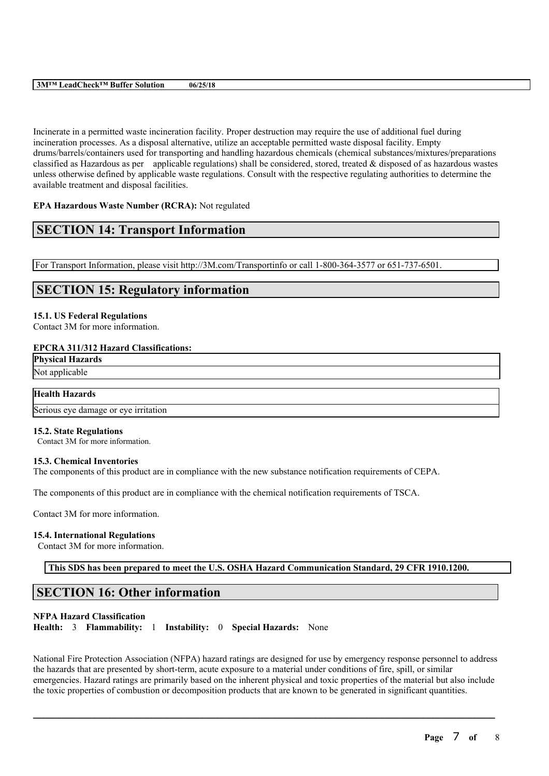# **3M™ LeadCheck™ Buffer Solution 06/25/18**

Incinerate in a permitted waste incineration facility. Proper destruction may require the use of additional fuel during incineration processes. As a disposal alternative, utilize an acceptable permitted waste disposal facility. Empty drums/barrels/containers used for transporting and handling hazardous chemicals (chemical substances/mixtures/preparations classified as Hazardous as per applicable regulations) shall be considered, stored, treated & disposed of as hazardous wastes unless otherwise defined by applicable waste regulations. Consult with the respective regulating authorities to determine the available treatment and disposal facilities.

# **EPA Hazardous Waste Number (RCRA):** Not regulated

# **SECTION 14: Transport Information**

For Transport Information, please visit http://3M.com/Transportinfo or call 1-800-364-3577 or 651-737-6501.

# **SECTION 15: Regulatory information**

#### **15.1. US Federal Regulations**

Contact 3M for more information.

#### **EPCRA 311/312 Hazard Classifications:**

**Physical Hazards**

Not applicable

# **Health Hazards**

Serious eye damage or eye irritation

#### **15.2. State Regulations**

Contact 3M for more information.

#### **15.3. Chemical Inventories**

The components of this product are in compliance with the new substance notification requirements of CEPA.

The components of this product are in compliance with the chemical notification requirements of TSCA.

Contact 3M for more information.

#### **15.4. International Regulations**

Contact 3M for more information.

**This SDS has been prepared to meet the U.S. OSHA Hazard Communication Standard, 29 CFR 1910.1200.**

# **SECTION 16: Other information**

# **NFPA Hazard Classification**

**Health:** 3 **Flammability:** 1 **Instability:** 0 **Special Hazards:** None

National Fire Protection Association (NFPA) hazard ratings are designed for use by emergency response personnel to address the hazards that are presented by short-term, acute exposure to a material under conditions of fire, spill, or similar emergencies. Hazard ratings are primarily based on the inherent physical and toxic properties of the material but also include the toxic properties of combustion or decomposition products that are known to be generated in significant quantities.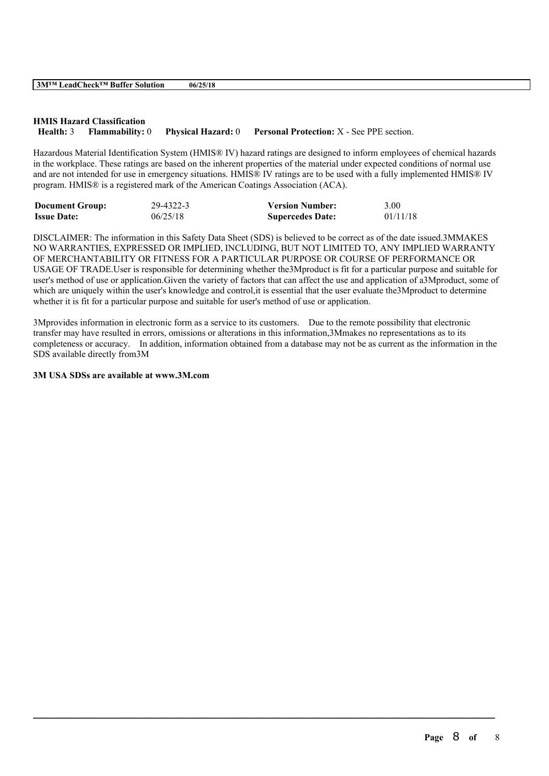# **HMIS Hazard Classification Health:** 3 **Flammability:** 0 **Physical Hazard:** 0 **Personal Protection:** X - See PPE section.

Hazardous Material Identification System (HMIS® IV) hazard ratings are designed to inform employees of chemical hazards in the workplace. These ratings are based on the inherent properties of the material under expected conditions of normal use and are not intended for use in emergency situations. HMIS® IV ratings are to be used with a fully implemented HMIS® IV program. HMIS® is a registered mark of the American Coatings Association (ACA).

| <b>Document Group:</b> | 29-4322-3 | <b>Version Number:</b>  | 3.00     |
|------------------------|-----------|-------------------------|----------|
| <b>Issue Date:</b>     | 06/25/18  | <b>Supercedes Date:</b> | 01/11/18 |

DISCLAIMER: The information in this Safety Data Sheet (SDS) is believed to be correct as of the date issued.3MMAKES NO WARRANTIES, EXPRESSED OR IMPLIED, INCLUDING, BUT NOT LIMITED TO, ANY IMPLIED WARRANTY OF MERCHANTABILITY OR FITNESS FOR A PARTICULAR PURPOSE OR COURSE OF PERFORMANCE OR USAGE OF TRADE.User is responsible for determining whether the3Mproduct is fit for a particular purpose and suitable for user's method of use or application.Given the variety of factors that can affect the use and application of a3Mproduct, some of which are uniquely within the user's knowledge and control, it is essential that the user evaluate the 3Mproduct to determine whether it is fit for a particular purpose and suitable for user's method of use or application.

3Mprovides information in electronic form as a service to its customers. Due to the remote possibility that electronic transfer may have resulted in errors, omissions or alterations in this information,3Mmakes no representations as to its completeness or accuracy. In addition, information obtained from a database may not be as current as the information in the SDS available directly from3M

 $\mathcal{L}_\mathcal{L} = \mathcal{L}_\mathcal{L} = \mathcal{L}_\mathcal{L} = \mathcal{L}_\mathcal{L} = \mathcal{L}_\mathcal{L} = \mathcal{L}_\mathcal{L} = \mathcal{L}_\mathcal{L} = \mathcal{L}_\mathcal{L} = \mathcal{L}_\mathcal{L} = \mathcal{L}_\mathcal{L} = \mathcal{L}_\mathcal{L} = \mathcal{L}_\mathcal{L} = \mathcal{L}_\mathcal{L} = \mathcal{L}_\mathcal{L} = \mathcal{L}_\mathcal{L} = \mathcal{L}_\mathcal{L} = \mathcal{L}_\mathcal{L}$ 

# **3M USA SDSs are available at www.3M.com**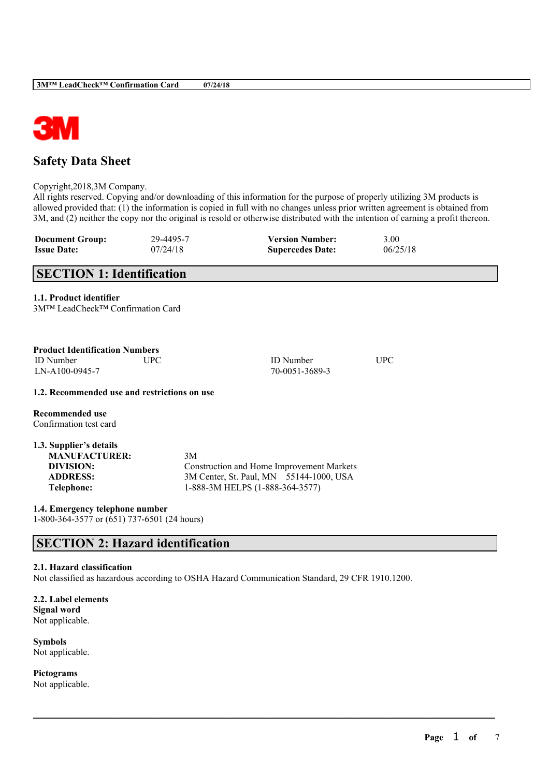

# **Safety Data Sheet**

Copyright,2018,3M Company.

All rights reserved. Copying and/or downloading of this information for the purpose of properly utilizing 3M products is allowed provided that: (1) the information is copied in full with no changes unless prior written agreement is obtained from 3M, and (2) neither the copy nor the original is resold or otherwise distributed with the intention of earning a profit thereon.

| <b>Document Group:</b> | 29-4495-7 | <b>Version Number:</b>  | 3.00     |
|------------------------|-----------|-------------------------|----------|
| <b>Issue Date:</b>     | 07/24/18  | <b>Supercedes Date:</b> | 06/25/18 |

# **SECTION 1: Identification**

**1.1. Product identifier**

| 3M™ LeadCheck™ Confirmation Card |  |
|----------------------------------|--|
|----------------------------------|--|

| <b>Product Identification Numbers</b><br>UPC.<br><b>ID</b> Number<br>$LN-A100-0945-7$                | <b>ID</b> Number<br>70-0051-3689-3                                                                                            | UPC |
|------------------------------------------------------------------------------------------------------|-------------------------------------------------------------------------------------------------------------------------------|-----|
| 1.2. Recommended use and restrictions on use                                                         |                                                                                                                               |     |
| Recommended use<br>Confirmation test card                                                            |                                                                                                                               |     |
| 1.3. Supplier's details<br><b>MANUFACTURER:</b><br>DIVISION:<br><b>ADDRESS:</b><br><b>Telephone:</b> | 3M<br>Construction and Home Improvement Markets<br>3M Center, St. Paul, MN 55144-1000, USA<br>1-888-3M HELPS (1-888-364-3577) |     |

**1.4. Emergency telephone number** 1-800-364-3577 or (651) 737-6501 (24 hours)

# **SECTION 2: Hazard identification**

# **2.1. Hazard classification**

Not classified as hazardous according to OSHA Hazard Communication Standard, 29 CFR 1910.1200.

 $\mathcal{L}_\mathcal{L} = \mathcal{L}_\mathcal{L} = \mathcal{L}_\mathcal{L} = \mathcal{L}_\mathcal{L} = \mathcal{L}_\mathcal{L} = \mathcal{L}_\mathcal{L} = \mathcal{L}_\mathcal{L} = \mathcal{L}_\mathcal{L} = \mathcal{L}_\mathcal{L} = \mathcal{L}_\mathcal{L} = \mathcal{L}_\mathcal{L} = \mathcal{L}_\mathcal{L} = \mathcal{L}_\mathcal{L} = \mathcal{L}_\mathcal{L} = \mathcal{L}_\mathcal{L} = \mathcal{L}_\mathcal{L} = \mathcal{L}_\mathcal{L}$ 

**2.2. Label elements Signal word** Not applicable.

**Symbols** Not applicable.

**Pictograms** Not applicable.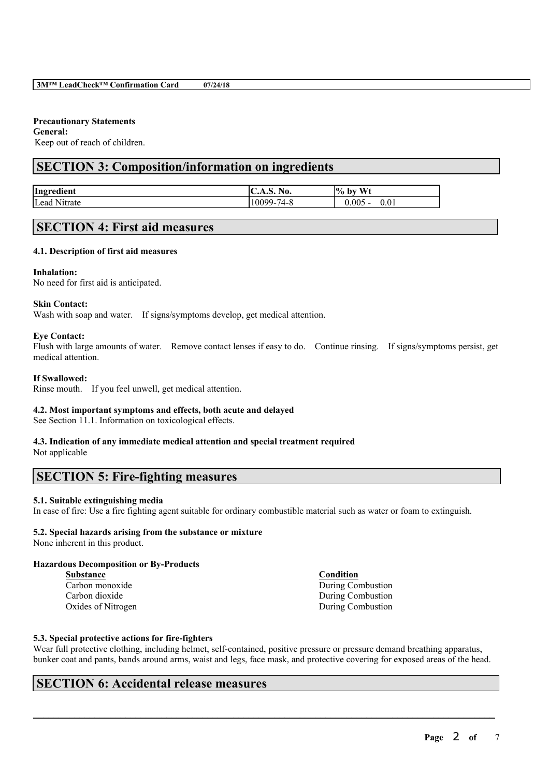# **Precautionary Statements**

**General:** Keep out of reach of children.

# **SECTION 3: Composition/information on ingredients**

| Ingredient      | <b>C.A.S. No.</b>      | Wt<br>$\frac{10}{6}$ .<br>b١ |
|-----------------|------------------------|------------------------------|
| Lead<br>Nitrate | $74 - \delta$<br>10099 | 0.005<br>0.01<br>, .         |

# **SECTION 4: First aid measures**

# **4.1. Description of first aid measures**

#### **Inhalation:**

No need for first aid is anticipated.

# **Skin Contact:**

Wash with soap and water. If signs/symptoms develop, get medical attention.

#### **Eye Contact:**

Flush with large amounts of water. Remove contact lenses if easy to do. Continue rinsing. If signs/symptoms persist, get medical attention.

#### **If Swallowed:**

Rinse mouth. If you feel unwell, get medical attention.

# **4.2. Most important symptoms and effects, both acute and delayed**

See Section 11.1. Information on toxicological effects.

#### **4.3. Indication of any immediate medical attention and special treatment required** Not applicable

# **SECTION 5: Fire-fighting measures**

# **5.1. Suitable extinguishing media**

In case of fire: Use a fire fighting agent suitable for ordinary combustible material such as water or foam to extinguish.

# **5.2. Special hazards arising from the substance or mixture**

None inherent in this product.

# **Hazardous Decomposition or By-Products**

| <b>Substance</b>   | Condition         |
|--------------------|-------------------|
| Carbon monoxide    | During Combustion |
| Carbon dioxide     | During Combustion |
| Oxides of Nitrogen | During Combustion |

# **5.3. Special protective actions for fire-fighters**

Wear full protective clothing, including helmet, self-contained, positive pressure or pressure demand breathing apparatus, bunker coat and pants, bands around arms, waist and legs, face mask, and protective covering for exposed areas of the head.

 $\mathcal{L}_\mathcal{L} = \mathcal{L}_\mathcal{L} = \mathcal{L}_\mathcal{L} = \mathcal{L}_\mathcal{L} = \mathcal{L}_\mathcal{L} = \mathcal{L}_\mathcal{L} = \mathcal{L}_\mathcal{L} = \mathcal{L}_\mathcal{L} = \mathcal{L}_\mathcal{L} = \mathcal{L}_\mathcal{L} = \mathcal{L}_\mathcal{L} = \mathcal{L}_\mathcal{L} = \mathcal{L}_\mathcal{L} = \mathcal{L}_\mathcal{L} = \mathcal{L}_\mathcal{L} = \mathcal{L}_\mathcal{L} = \mathcal{L}_\mathcal{L}$ 

# **SECTION 6: Accidental release measures**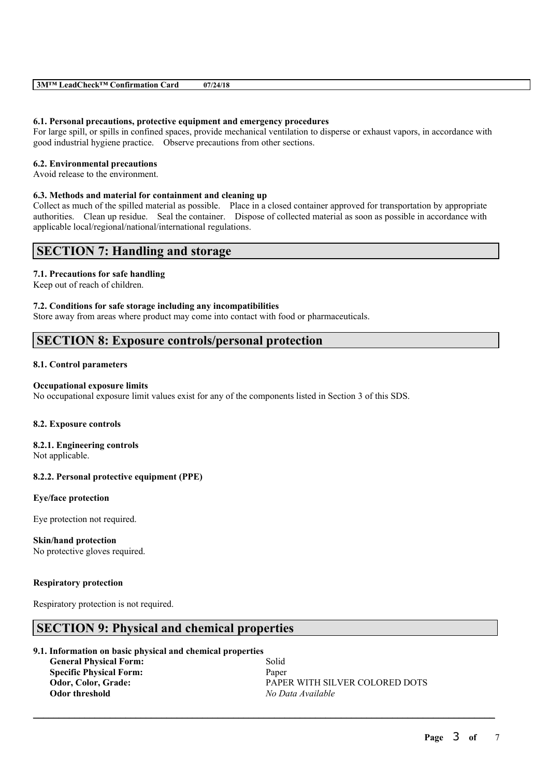| $3M^{TM}$<br>$\mathbf{L}$ ead $\mathbf{C}^{\mathbf{L}}$<br><b>TRA</b><br>Card<br>∴heck™ ′<br>Confirmation <b>'</b> | /24/18<br>07/ |  |
|--------------------------------------------------------------------------------------------------------------------|---------------|--|
|--------------------------------------------------------------------------------------------------------------------|---------------|--|

#### **6.1. Personal precautions, protective equipment and emergency procedures**

For large spill, or spills in confined spaces, provide mechanical ventilation to disperse or exhaust vapors, in accordance with good industrial hygiene practice. Observe precautions from other sections.

### **6.2. Environmental precautions**

Avoid release to the environment.

#### **6.3. Methods and material for containment and cleaning up**

Collect as much of the spilled material as possible. Place in a closed container approved for transportation by appropriate authorities. Clean up residue. Seal the container. Dispose of collected material as soon as possible in accordance with applicable local/regional/national/international regulations.

# **SECTION 7: Handling and storage**

# **7.1. Precautions for safe handling**

Keep out of reach of children.

#### **7.2. Conditions for safe storage including any incompatibilities**

Store away from areas where product may come into contact with food or pharmaceuticals.

# **SECTION 8: Exposure controls/personal protection**

#### **8.1. Control parameters**

#### **Occupational exposure limits**

No occupational exposure limit values exist for any of the components listed in Section 3 of this SDS.

#### **8.2. Exposure controls**

### **8.2.1. Engineering controls** Not applicable.

# **8.2.2. Personal protective equipment (PPE)**

# **Eye/face protection**

Eye protection not required.

# **Skin/hand protection**

No protective gloves required.

#### **Respiratory protection**

Respiratory protection is not required.

# **SECTION 9: Physical and chemical properties**

### **9.1. Information on basic physical and chemical properties**

**General Physical Form:** Solid **Specific Physical Form:** Paper **Odor threshold** *No Data Available*

**Odor, Color, Grade:** PAPER WITH SILVER COLORED DOTS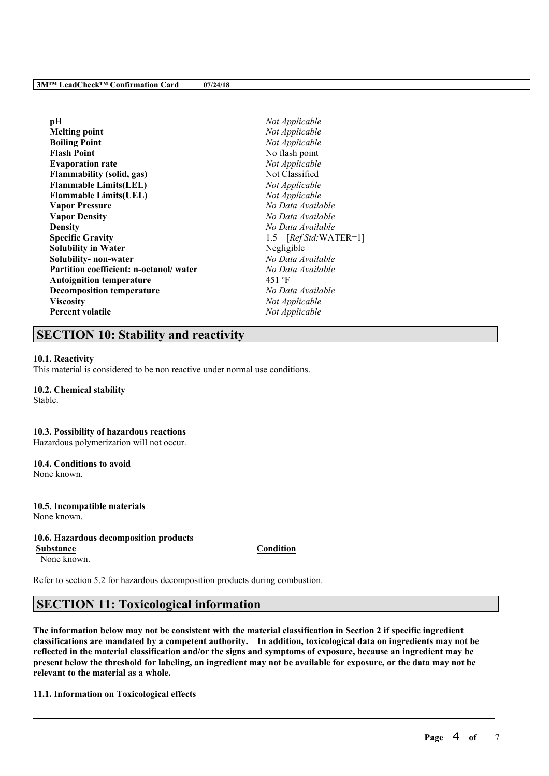| рH                                     | Not Applicable         |  |
|----------------------------------------|------------------------|--|
| <b>Melting point</b>                   | Not Applicable         |  |
| <b>Boiling Point</b>                   | Not Applicable         |  |
| <b>Flash Point</b>                     | No flash point         |  |
| <b>Evaporation rate</b>                | Not Applicable         |  |
| <b>Flammability (solid, gas)</b>       | Not Classified         |  |
| <b>Flammable Limits(LEL)</b>           | Not Applicable         |  |
| <b>Flammable Limits(UEL)</b>           | Not Applicable         |  |
| <b>Vapor Pressure</b>                  | No Data Available      |  |
| <b>Vapor Density</b>                   | No Data Available      |  |
| <b>Density</b>                         | No Data Available      |  |
| <b>Specific Gravity</b>                | 1.5 $[RefStd:WATER=1]$ |  |
| <b>Solubility in Water</b>             | Negligible             |  |
| Solubility- non-water                  | No Data Available      |  |
| Partition coefficient: n-octanol/water | No Data Available      |  |
| <b>Autoignition temperature</b>        | 451 °F                 |  |
| <b>Decomposition temperature</b>       | No Data Available      |  |
| <b>Viscosity</b>                       | Not Applicable         |  |
| <b>Percent volatile</b>                | Not Applicable         |  |

# **SECTION 10: Stability and reactivity**

#### **10.1. Reactivity**

This material is considered to be non reactive under normal use conditions.

#### **10.2. Chemical stability**

Stable.

#### **10.3. Possibility of hazardous reactions**

Hazardous polymerization will not occur.

# **10.4. Conditions to avoid**

None known.

#### **10.5. Incompatible materials** None known.

#### **10.6. Hazardous decomposition products**

None known.

**Substance Condition**

Refer to section 5.2 for hazardous decomposition products during combustion.

# **SECTION 11: Toxicological information**

The information below may not be consistent with the material classification in Section 2 if specific ingredient **classifications are mandated by a competent authority. In addition, toxicological data on ingredients may not be** reflected in the material classification and/or the signs and symptoms of exposure, because an ingredient may be present below the threshold for labeling, an ingredient may not be available for exposure, or the data may not be **relevant to the material as a whole.**

 $\mathcal{L}_\mathcal{L} = \mathcal{L}_\mathcal{L} = \mathcal{L}_\mathcal{L} = \mathcal{L}_\mathcal{L} = \mathcal{L}_\mathcal{L} = \mathcal{L}_\mathcal{L} = \mathcal{L}_\mathcal{L} = \mathcal{L}_\mathcal{L} = \mathcal{L}_\mathcal{L} = \mathcal{L}_\mathcal{L} = \mathcal{L}_\mathcal{L} = \mathcal{L}_\mathcal{L} = \mathcal{L}_\mathcal{L} = \mathcal{L}_\mathcal{L} = \mathcal{L}_\mathcal{L} = \mathcal{L}_\mathcal{L} = \mathcal{L}_\mathcal{L}$ 

# **11.1. Information on Toxicological effects**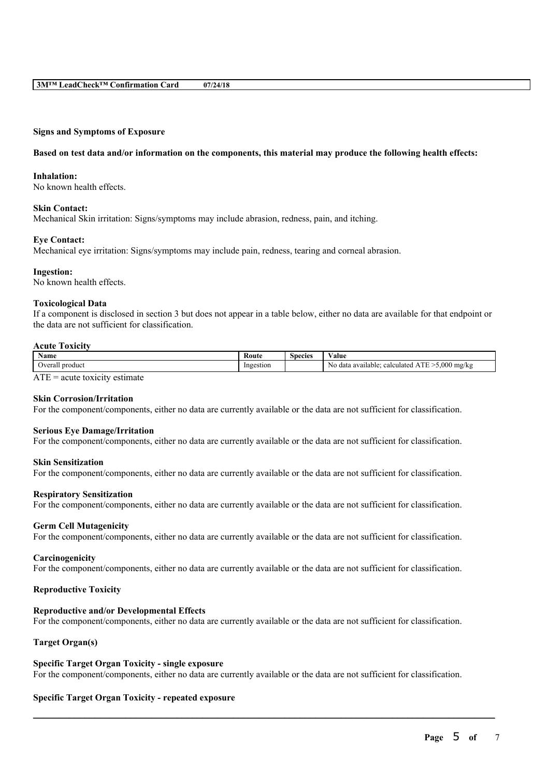#### **Signs and Symptoms of Exposure**

#### Based on test data and/or information on the components, this material may produce the following health effects:

#### **Inhalation:**

No known health effects.

#### **Skin Contact:**

Mechanical Skin irritation: Signs/symptoms may include abrasion, redness, pain, and itching.

#### **Eye Contact:**

Mechanical eye irritation: Signs/symptoms may include pain, redness, tearing and corneal abrasion.

#### **Ingestion:**

No known health effects.

#### **Toxicological Data**

If a component is disclosed in section 3 but does not appear in a table below, either no data are available for that endpoint or the data are not sufficient for classification.

#### **Acute Toxicity**

| Name                                         | Route          | Species | $\mathbf{v}$<br>⁄ alue                                                                                 |
|----------------------------------------------|----------------|---------|--------------------------------------------------------------------------------------------------------|
| 7.0001<br>product<br>$_{\rm V}$<br>стат<br>. | Ingestion<br>. |         | $\triangle$<br><b>CONTRACTOR</b><br>N0<br>mg/kg<br>0.570<br>calculated.<br>data a<br>vailable: .<br>лu |

 $ATE = acute$  toxicity estimate

# **Skin Corrosion/Irritation**

For the component/components, either no data are currently available or the data are not sufficient for classification.

#### **Serious Eye Damage/Irritation**

For the component/components, either no data are currently available or the data are not sufficient for classification.

#### **Skin Sensitization**

For the component/components, either no data are currently available or the data are not sufficient for classification.

#### **Respiratory Sensitization**

For the component/components, either no data are currently available or the data are not sufficient for classification.

#### **Germ Cell Mutagenicity**

For the component/components, either no data are currently available or the data are not sufficient for classification.

#### **Carcinogenicity**

For the component/components, either no data are currently available or the data are not sufficient for classification.

# **Reproductive Toxicity**

### **Reproductive and/or Developmental Effects**

For the component/components, either no data are currently available or the data are not sufficient for classification.

# **Target Organ(s)**

### **Specific Target Organ Toxicity - single exposure**

For the component/components, either no data are currently available or the data are not sufficient for classification.

 $\mathcal{L}_\mathcal{L} = \mathcal{L}_\mathcal{L} = \mathcal{L}_\mathcal{L} = \mathcal{L}_\mathcal{L} = \mathcal{L}_\mathcal{L} = \mathcal{L}_\mathcal{L} = \mathcal{L}_\mathcal{L} = \mathcal{L}_\mathcal{L} = \mathcal{L}_\mathcal{L} = \mathcal{L}_\mathcal{L} = \mathcal{L}_\mathcal{L} = \mathcal{L}_\mathcal{L} = \mathcal{L}_\mathcal{L} = \mathcal{L}_\mathcal{L} = \mathcal{L}_\mathcal{L} = \mathcal{L}_\mathcal{L} = \mathcal{L}_\mathcal{L}$ 

#### **Specific Target Organ Toxicity - repeated exposure**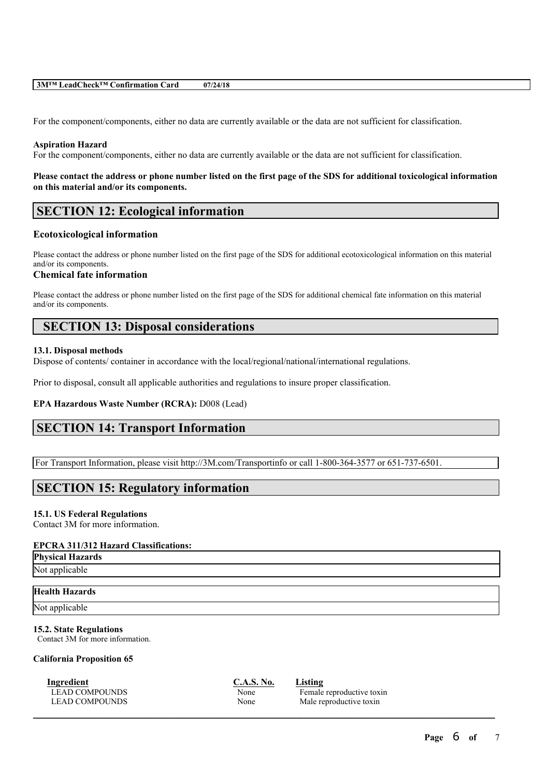| 3M™ LeadCheck™ Confirmation Card | 07/24/18 |
|----------------------------------|----------|
|----------------------------------|----------|

For the component/components, either no data are currently available or the data are not sufficient for classification.

#### **Aspiration Hazard**

For the component/components, either no data are currently available or the data are not sufficient for classification.

### Please contact the address or phone number listed on the first page of the SDS for additional toxicological information **on this material and/or its components.**

# **SECTION 12: Ecological information**

#### **Ecotoxicological information**

Please contact the address or phone number listed on the first page of the SDS for additional ecotoxicological information on this material and/or its components.

# **Chemical fate information**

Please contact the address or phone number listed on the first page of the SDS for additional chemical fate information on this material and/or its components.

# **SECTION 13: Disposal considerations**

#### **13.1. Disposal methods**

Dispose of contents/ container in accordance with the local/regional/national/international regulations.

Prior to disposal, consult all applicable authorities and regulations to insure proper classification.

#### **EPA Hazardous Waste Number (RCRA):** D008 (Lead)

# **SECTION 14: Transport Information**

For Transport Information, please visit http://3M.com/Transportinfo or call 1-800-364-3577 or 651-737-6501.

# **SECTION 15: Regulatory information**

#### **15.1. US Federal Regulations**

Contact 3M for more information.

#### **EPCRA 311/312 Hazard Classifications:**

**Physical Hazards**

Not applicable

### **Health Hazards**

Not applicable

#### **15.2. State Regulations**

Contact 3M for more information.

#### **California Proposition 65**

**Ingredient C.A.S. No. Listing**

| C.A.S. No |  |
|-----------|--|
| None      |  |
| None      |  |

 $\mathcal{L}_\mathcal{L} = \mathcal{L}_\mathcal{L} = \mathcal{L}_\mathcal{L} = \mathcal{L}_\mathcal{L} = \mathcal{L}_\mathcal{L} = \mathcal{L}_\mathcal{L} = \mathcal{L}_\mathcal{L} = \mathcal{L}_\mathcal{L} = \mathcal{L}_\mathcal{L} = \mathcal{L}_\mathcal{L} = \mathcal{L}_\mathcal{L} = \mathcal{L}_\mathcal{L} = \mathcal{L}_\mathcal{L} = \mathcal{L}_\mathcal{L} = \mathcal{L}_\mathcal{L} = \mathcal{L}_\mathcal{L} = \mathcal{L}_\mathcal{L}$ 

LEAD COMPOUNDS None Female reproductive toxin<br>
LEAD COMPOUNDS None Male reproductive toxin Male reproductive toxin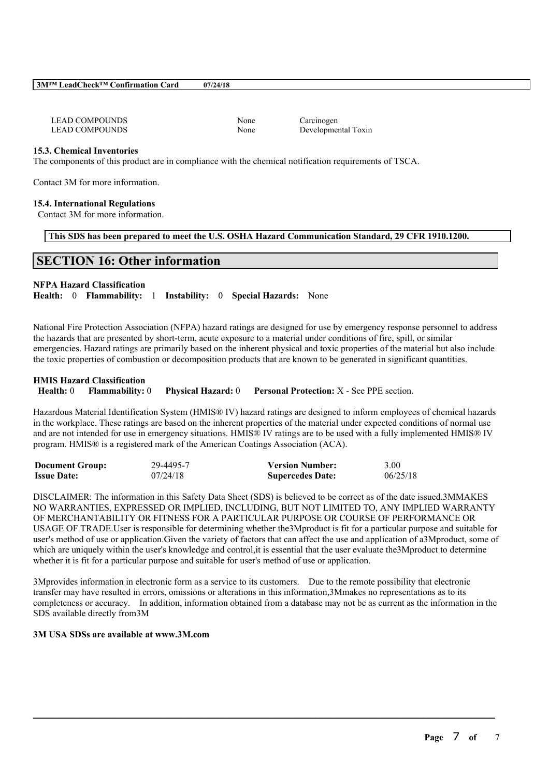### **3M™ LeadCheck™ Confirmation Card 07/24/18**

| LEAD COMPOUNDS        |
|-----------------------|
| <b>LEAD COMPOUNDS</b> |

None Carcinogen None Developmental Toxin

# **15.3. Chemical Inventories**

The components of this product are in compliance with the chemical notification requirements of TSCA.

Contact 3M for more information.

# **15.4. International Regulations**

Contact 3M for more information.

# **This SDS has been prepared to meet the U.S. OSHA Hazard Communication Standard, 29 CFR 1910.1200.**

# **SECTION 16: Other information**

# **NFPA Hazard Classification**

**Health:** 0 **Flammability:** 1 **Instability:** 0 **Special Hazards:** None

National Fire Protection Association (NFPA) hazard ratings are designed for use by emergency response personnel to address the hazards that are presented by short-term, acute exposure to a material under conditions of fire, spill, or similar emergencies. Hazard ratings are primarily based on the inherent physical and toxic properties of the material but also include the toxic properties of combustion or decomposition products that are known to be generated in significant quantities.

#### **HMIS Hazard Classification**

```
Health: 0 Flammability: 0 Physical Hazard: 0 Personal Protection: X - See PPE section.
```
Hazardous Material Identification System (HMIS® IV) hazard ratings are designed to inform employees of chemical hazards in the workplace. These ratings are based on the inherent properties of the material under expected conditions of normal use and are not intended for use in emergency situations. HMIS® IV ratings are to be used with a fully implemented HMIS® IV program. HMIS® is a registered mark of the American Coatings Association (ACA).

| <b>Document Group:</b> | 29-4495-7 | <b>Version Number:</b>  | 3.00     |
|------------------------|-----------|-------------------------|----------|
| <b>Issue Date:</b>     | 07/24/18  | <b>Supercedes Date:</b> | 06/25/18 |

DISCLAIMER: The information in this Safety Data Sheet (SDS) is believed to be correct as of the date issued.3MMAKES NO WARRANTIES, EXPRESSED OR IMPLIED, INCLUDING, BUT NOT LIMITED TO, ANY IMPLIED WARRANTY OF MERCHANTABILITY OR FITNESS FOR A PARTICULAR PURPOSE OR COURSE OF PERFORMANCE OR USAGE OF TRADE.User is responsible for determining whether the3Mproduct is fit for a particular purpose and suitable for user's method of use or application.Given the variety of factors that can affect the use and application of a3Mproduct, some of which are uniquely within the user's knowledge and control, it is essential that the user evaluate the3Mproduct to determine whether it is fit for a particular purpose and suitable for user's method of use or application.

3Mprovides information in electronic form as a service to its customers. Due to the remote possibility that electronic transfer may have resulted in errors, omissions or alterations in this information,3Mmakes no representations as to its completeness or accuracy. In addition, information obtained from a database may not be as current as the information in the SDS available directly from3M

 $\mathcal{L}_\mathcal{L} = \mathcal{L}_\mathcal{L} = \mathcal{L}_\mathcal{L} = \mathcal{L}_\mathcal{L} = \mathcal{L}_\mathcal{L} = \mathcal{L}_\mathcal{L} = \mathcal{L}_\mathcal{L} = \mathcal{L}_\mathcal{L} = \mathcal{L}_\mathcal{L} = \mathcal{L}_\mathcal{L} = \mathcal{L}_\mathcal{L} = \mathcal{L}_\mathcal{L} = \mathcal{L}_\mathcal{L} = \mathcal{L}_\mathcal{L} = \mathcal{L}_\mathcal{L} = \mathcal{L}_\mathcal{L} = \mathcal{L}_\mathcal{L}$ 

# **3M USA SDSs are available at www.3M.com**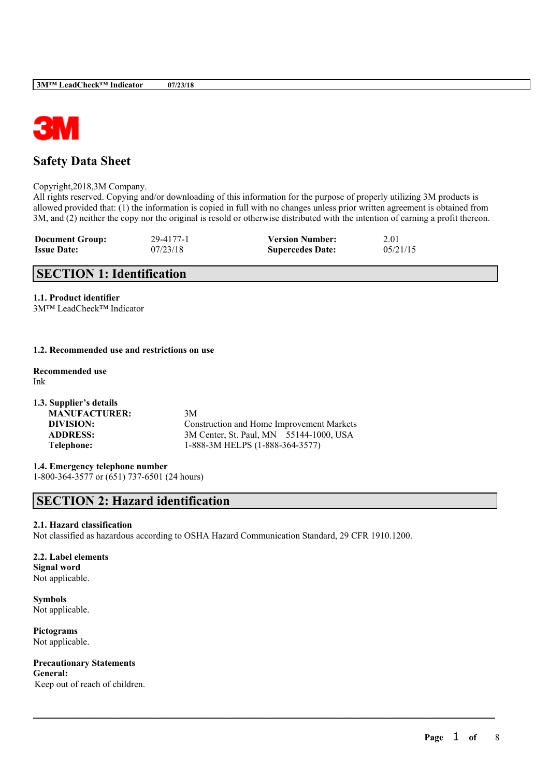

# **Safety Data Sheet**

Copyright,2018,3M Company.

All rights reserved. Copying and/or downloading of this information for the purpose of properly utilizing 3M products is allowed provided that: (1) the information is copied in full with no changes unless prior written agreement is obtained from 3M, and (2) neither the copy nor the original is resold or otherwise distributed with the intention of earning a profit thereon.

| <b>Document Group:</b> | 29-4177-1 | <b>Version Number:</b>  | 2.01     |
|------------------------|-----------|-------------------------|----------|
| <b>Issue Date:</b>     | 07/23/18  | <b>Supercedes Date:</b> | 05/21/15 |

# **SECTION 1: Identification**

**1.1. Product identifier**

3M™ LeadCheck™ Indicator

# **1.2. Recommended use and restrictions on use**

**Recommended use** Ink

**1.3. Supplier's details MANUFACTURER:** 3M **DIVISION:** Construction and Home Improvement Markets **ADDRESS:** 3M Center, St. Paul, MN 55144-1000, USA **Telephone:** 1-888-3M HELPS (1-888-364-3577)

**1.4. Emergency telephone number** 1-800-364-3577 or (651) 737-6501 (24 hours)

# **SECTION 2: Hazard identification**

# **2.1. Hazard classification**

Not classified as hazardous according to OSHA Hazard Communication Standard, 29 CFR 1910.1200.

 $\mathcal{L}_\mathcal{L} = \mathcal{L}_\mathcal{L} = \mathcal{L}_\mathcal{L} = \mathcal{L}_\mathcal{L} = \mathcal{L}_\mathcal{L} = \mathcal{L}_\mathcal{L} = \mathcal{L}_\mathcal{L} = \mathcal{L}_\mathcal{L} = \mathcal{L}_\mathcal{L} = \mathcal{L}_\mathcal{L} = \mathcal{L}_\mathcal{L} = \mathcal{L}_\mathcal{L} = \mathcal{L}_\mathcal{L} = \mathcal{L}_\mathcal{L} = \mathcal{L}_\mathcal{L} = \mathcal{L}_\mathcal{L} = \mathcal{L}_\mathcal{L}$ 

**2.2. Label elements Signal word** Not applicable.

**Symbols** Not applicable.

**Pictograms** Not applicable.

**Precautionary Statements General:**

Keep out of reach of children.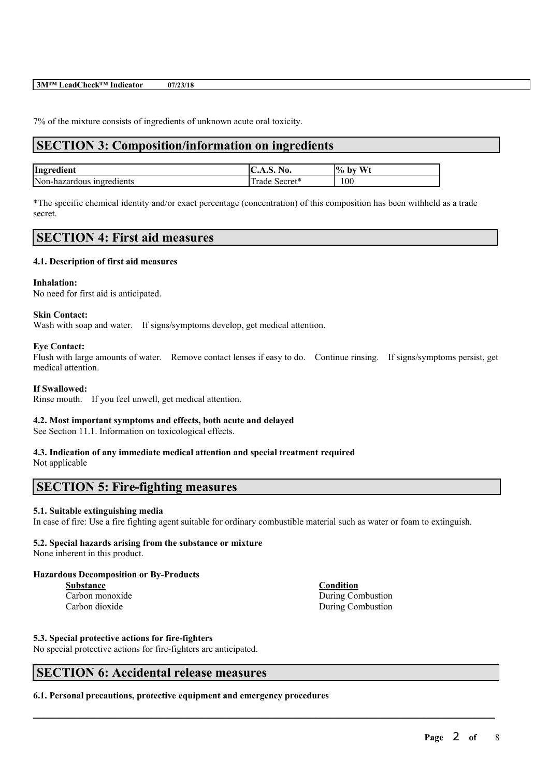#### **3M™ LeadCheck™ Indicator 07/23/18**

7% of the mixture consists of ingredients of unknown acute oral toxicity.

# **SECTION 3: Composition/information on ingredients**

| Ingredient                | No.<br>◡ﯩ<br>7. J. L | W <sub>t</sub><br>$\%$ by |
|---------------------------|----------------------|---------------------------|
| Non-hazardous ingredients | $\sqrt{3}$<br>1 rade | 100                       |

\*The specific chemical identity and/or exact percentage (concentration) of this composition has been withheld as a trade secret.

# **SECTION 4: First aid measures**

#### **4.1. Description of first aid measures**

#### **Inhalation:**

No need for first aid is anticipated.

#### **Skin Contact:**

Wash with soap and water. If signs/symptoms develop, get medical attention.

#### **Eye Contact:**

Flush with large amounts of water. Remove contact lenses if easy to do. Continue rinsing. If signs/symptoms persist, get medical attention.

# **If Swallowed:**

Rinse mouth. If you feel unwell, get medical attention.

# **4.2. Most important symptoms and effects, both acute and delayed**

See Section 11.1. Information on toxicological effects.

# **4.3. Indication of any immediate medical attention and special treatment required**

Not applicable

# **SECTION 5: Fire-fighting measures**

# **5.1. Suitable extinguishing media**

In case of fire: Use a fire fighting agent suitable for ordinary combustible material such as water or foam to extinguish.

 $\mathcal{L}_\mathcal{L} = \mathcal{L}_\mathcal{L} = \mathcal{L}_\mathcal{L} = \mathcal{L}_\mathcal{L} = \mathcal{L}_\mathcal{L} = \mathcal{L}_\mathcal{L} = \mathcal{L}_\mathcal{L} = \mathcal{L}_\mathcal{L} = \mathcal{L}_\mathcal{L} = \mathcal{L}_\mathcal{L} = \mathcal{L}_\mathcal{L} = \mathcal{L}_\mathcal{L} = \mathcal{L}_\mathcal{L} = \mathcal{L}_\mathcal{L} = \mathcal{L}_\mathcal{L} = \mathcal{L}_\mathcal{L} = \mathcal{L}_\mathcal{L}$ 

# **5.2. Special hazards arising from the substance or mixture**

None inherent in this product.

#### **Hazardous Decomposition or By-Products**

**Substance Condition**

Carbon monoxide During Combustion

Carbon dioxide During Combustion

#### **5.3. Special protective actions for fire-fighters**

No special protective actions for fire-fighters are anticipated.

# **SECTION 6: Accidental release measures**

**6.1. Personal precautions, protective equipment and emergency procedures**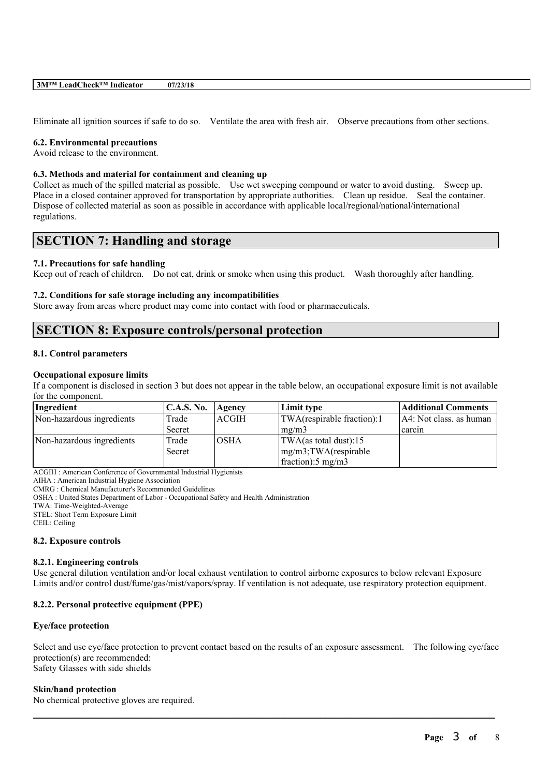Eliminate all ignition sources if safe to do so. Ventilate the area with fresh air. Observe precautions from other sections.

#### **6.2. Environmental precautions**

Avoid release to the environment.

#### **6.3. Methods and material for containment and cleaning up**

Collect as much of the spilled material as possible. Use wet sweeping compound or water to avoid dusting. Sweep up. Place in a closed container approved for transportation by appropriate authorities. Clean up residue. Seal the container. Dispose of collected material as soon as possible in accordance with applicable local/regional/national/international regulations.

# **SECTION 7: Handling and storage**

#### **7.1. Precautions for safe handling**

Keep out of reach of children. Do not eat, drink or smoke when using this product. Wash thoroughly after handling.

#### **7.2. Conditions for safe storage including any incompatibilities**

Store away from areas where product may come into contact with food or pharmaceuticals.

# **SECTION 8: Exposure controls/personal protection**

#### **8.1. Control parameters**

#### **Occupational exposure limits**

If a component is disclosed in section 3 but does not appear in the table below, an occupational exposure limit is not available for the component.

| Ingredient                | <b>C.A.S. No.</b> | Agency      | Limit type                     | <b>Additional Comments</b> |
|---------------------------|-------------------|-------------|--------------------------------|----------------------------|
| Non-hazardous ingredients | Trade             | ACGIH       | TWA(respirable fraction):1     | $AA:$ Not class. as human  |
|                           | Secret            |             | mg/m3                          | carcin                     |
| Non-hazardous ingredients | Trade             | <b>OSHA</b> | $ TWA$ (as total dust):15      |                            |
|                           | <b>Secret</b>     |             | $mg/m3$ ; TWA(respirable       |                            |
|                           |                   |             | $frac{1}{2}$ fraction: 5 mg/m3 |                            |

ACGIH : American Conference of Governmental Industrial Hygienists

AIHA : American Industrial Hygiene Association

CMRG : Chemical Manufacturer's Recommended Guidelines

OSHA : United States Department of Labor - Occupational Safety and Health Administration

TWA: Time-Weighted-Average

STEL: Short Term Exposure Limit

CEIL: Ceiling

#### **8.2. Exposure controls**

#### **8.2.1. Engineering controls**

Use general dilution ventilation and/or local exhaust ventilation to control airborne exposures to below relevant Exposure Limits and/or control dust/fume/gas/mist/vapors/spray. If ventilation is not adequate, use respiratory protection equipment.

#### **8.2.2. Personal protective equipment (PPE)**

#### **Eye/face protection**

Select and use eye/face protection to prevent contact based on the results of an exposure assessment. The following eye/face protection(s) are recommended: Safety Glasses with side shields

 $\mathcal{L}_\mathcal{L} = \mathcal{L}_\mathcal{L} = \mathcal{L}_\mathcal{L} = \mathcal{L}_\mathcal{L} = \mathcal{L}_\mathcal{L} = \mathcal{L}_\mathcal{L} = \mathcal{L}_\mathcal{L} = \mathcal{L}_\mathcal{L} = \mathcal{L}_\mathcal{L} = \mathcal{L}_\mathcal{L} = \mathcal{L}_\mathcal{L} = \mathcal{L}_\mathcal{L} = \mathcal{L}_\mathcal{L} = \mathcal{L}_\mathcal{L} = \mathcal{L}_\mathcal{L} = \mathcal{L}_\mathcal{L} = \mathcal{L}_\mathcal{L}$ 

#### **Skin/hand protection**

No chemical protective gloves are required.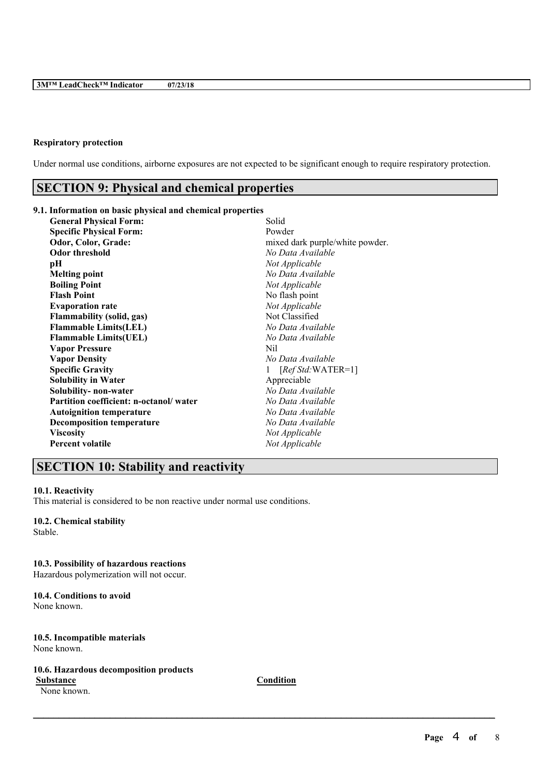# **Respiratory protection**

Under normal use conditions, airborne exposures are not expected to be significant enough to require respiratory protection.

# **SECTION 9: Physical and chemical properties**

# **9.1. Information on basic physical and chemical properties**

| <b>General Physical Form:</b>          | Solid                           |
|----------------------------------------|---------------------------------|
| <b>Specific Physical Form:</b>         | Powder                          |
| Odor, Color, Grade:                    | mixed dark purple/white powder. |
| <b>Odor threshold</b>                  | No Data Available               |
| pН                                     | Not Applicable                  |
| <b>Melting point</b>                   | No Data Available               |
| <b>Boiling Point</b>                   | Not Applicable                  |
| <b>Flash Point</b>                     | No flash point                  |
| <b>Evaporation rate</b>                | Not Applicable                  |
| <b>Flammability (solid, gas)</b>       | Not Classified                  |
| <b>Flammable Limits(LEL)</b>           | No Data Available               |
| <b>Flammable Limits(UEL)</b>           | No Data Available               |
| <b>Vapor Pressure</b>                  | Nil                             |
| <b>Vapor Density</b>                   | No Data Available               |
| <b>Specific Gravity</b>                | $[RefStd:WATER=1]$              |
| <b>Solubility in Water</b>             | Appreciable                     |
| Solubility- non-water                  | No Data Available               |
| Partition coefficient: n-octanol/water | No Data Available               |
| <b>Autoignition temperature</b>        | No Data Available               |
| <b>Decomposition temperature</b>       | No Data Available               |
| <b>Viscosity</b>                       | Not Applicable                  |
| <b>Percent volatile</b>                | Not Applicable                  |
|                                        |                                 |

# **SECTION 10: Stability and reactivity**

# **10.1. Reactivity**

This material is considered to be non reactive under normal use conditions.

# **10.2. Chemical stability**

Stable.

### **10.3. Possibility of hazardous reactions**

Hazardous polymerization will not occur.

#### **10.4. Conditions to avoid** None known.

#### **10.5. Incompatible materials** None known.

### **10.6. Hazardous decomposition products**

None known.

**Substance Condition**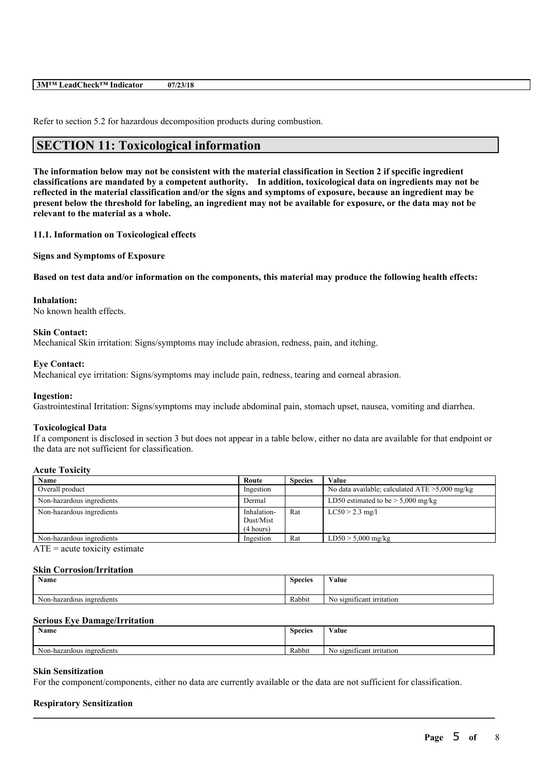#### **3M™ LeadCheck™ Indicator 07/23/18**

Refer to section 5.2 for hazardous decomposition products during combustion.

# **SECTION 11: Toxicological information**

The information below may not be consistent with the material classification in Section 2 if specific ingredient **classifications are mandated by a competent authority. In addition, toxicological data on ingredients may not be** reflected in the material classification and/or the signs and symptoms of exposure, because an ingredient may be present below the threshold for labeling, an ingredient may not be available for exposure, or the data may not be **relevant to the material as a whole.**

**11.1. Information on Toxicological effects**

**Signs and Symptoms of Exposure**

Based on test data and/or information on the components, this material may produce the following health effects:

#### **Inhalation:**

No known health effects.

# **Skin Contact:**

Mechanical Skin irritation: Signs/symptoms may include abrasion, redness, pain, and itching.

#### **Eye Contact:**

Mechanical eye irritation: Signs/symptoms may include pain, redness, tearing and corneal abrasion.

#### **Ingestion:**

Gastrointestinal Irritation: Signs/symptoms may include abdominal pain, stomach upset, nausea, vomiting and diarrhea.

#### **Toxicological Data**

If a component is disclosed in section 3 but does not appear in a table below, either no data are available for that endpoint or the data are not sufficient for classification.

#### **Acute Toxicity**

| Name                      | Route                                 | <b>Species</b> | Value                                             |
|---------------------------|---------------------------------------|----------------|---------------------------------------------------|
| Overall product           | Ingestion                             |                | No data available; calculated $ATE > 5,000$ mg/kg |
| Non-hazardous ingredients | Dermal                                |                | LD50 estimated to be $> 5,000$ mg/kg              |
| Non-hazardous ingredients | Inhalation-<br>Dust/Mist<br>(4 hours) | Rat            | $LC50 > 2.3$ mg/l                                 |
| Non-hazardous ingredients | Ingestion                             | Rat            | $LD50 > 5,000$ mg/kg                              |

 $ATE = acute$  toxicity estimate

#### **Skin Corrosion/Irritation**

| Name                      | <b>Species</b> | $-1$<br>V alue                      |
|---------------------------|----------------|-------------------------------------|
|                           |                |                                     |
| Non-hazardous ingredients | .<br>Rabbit    | . .<br>significant irritation<br>No |

#### **Serious Eye Damage/Irritation**

| <b>B</b> T<br>Name                  | Species | $X$ $Y$ $Y$<br>Value                                        |
|-------------------------------------|---------|-------------------------------------------------------------|
| $\sim$<br>Non-hazardous ingredients | Rabbit  | <b>CONTRACTOR</b><br>$\sim$<br>significant irritation<br>No |

 $\mathcal{L}_\mathcal{L} = \mathcal{L}_\mathcal{L} = \mathcal{L}_\mathcal{L} = \mathcal{L}_\mathcal{L} = \mathcal{L}_\mathcal{L} = \mathcal{L}_\mathcal{L} = \mathcal{L}_\mathcal{L} = \mathcal{L}_\mathcal{L} = \mathcal{L}_\mathcal{L} = \mathcal{L}_\mathcal{L} = \mathcal{L}_\mathcal{L} = \mathcal{L}_\mathcal{L} = \mathcal{L}_\mathcal{L} = \mathcal{L}_\mathcal{L} = \mathcal{L}_\mathcal{L} = \mathcal{L}_\mathcal{L} = \mathcal{L}_\mathcal{L}$ 

#### **Skin Sensitization**

For the component/components, either no data are currently available or the data are not sufficient for classification.

#### **Respiratory Sensitization**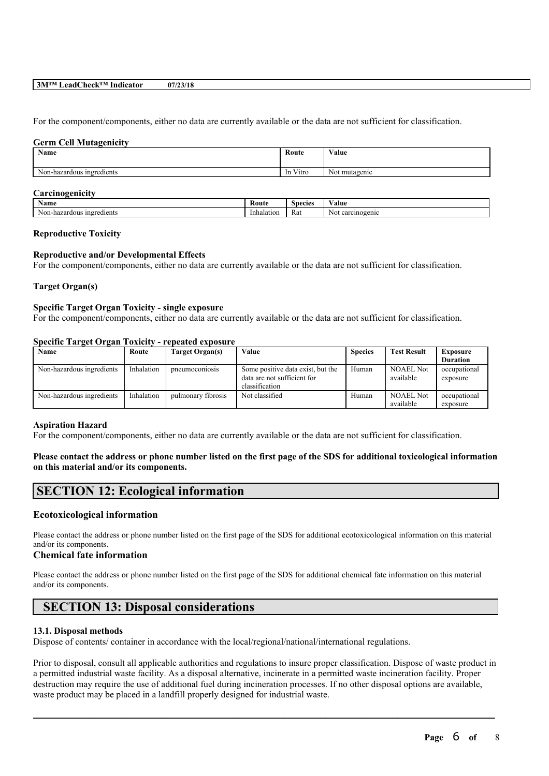#### **3M™ LeadCheck™ Indicator 07/23/18**

For the component/components, either no data are currently available or the data are not sufficient for classification.

#### **Germ Cell Mutagenicity**

| <b>Name</b>               | Route                        | <b>WY 3</b><br>Value |
|---------------------------|------------------------------|----------------------|
| Non-hazardous ingredients | $\mathbf{v}$<br>Vitro<br>-In | Not mutagenic        |

#### **Carcinogenicity**

| Name                         | Koute      | Species              | ⁄ alue                   |
|------------------------------|------------|----------------------|--------------------------|
| ingredients<br>Non-hazardous | Inhalation | $\sim$<br><b>Rat</b> | ogenic<br>carcin<br>INOL |

#### **Reproductive Toxicity**

#### **Reproductive and/or Developmental Effects**

For the component/components, either no data are currently available or the data are not sufficient for classification.

#### **Target Organ(s)**

# **Specific Target Organ Toxicity - single exposure**

For the component/components, either no data are currently available or the data are not sufficient for classification.

#### **Specific Target Organ Toxicity - repeated exposure**

| Name                      | Route      | Target Organ(s)    | Value                                                                              | <b>Species</b> | <b>Test Result</b>            | <b>Exposure</b><br><b>Duration</b> |
|---------------------------|------------|--------------------|------------------------------------------------------------------------------------|----------------|-------------------------------|------------------------------------|
| Non-hazardous ingredients | Inhalation | pneumoconiosis     | Some positive data exist, but the<br>data are not sufficient for<br>classification | Human          | NOAEL Not<br>available        | occupational<br>exposure           |
| Non-hazardous ingredients | Inhalation | pulmonary fibrosis | Not classified                                                                     | Human          | <b>NOAEL Not</b><br>available | occupational<br>exposure           |

#### **Aspiration Hazard**

For the component/components, either no data are currently available or the data are not sufficient for classification.

### Please contact the address or phone number listed on the first page of the SDS for additional toxicological information **on this material and/or its components.**

# **SECTION 12: Ecological information**

# **Ecotoxicological information**

Please contact the address or phone number listed on the first page of the SDS for additional ecotoxicological information on this material and/or its components.

# **Chemical fate information**

Please contact the address or phone number listed on the first page of the SDS for additional chemical fate information on this material and/or its components.

# **SECTION 13: Disposal considerations**

#### **13.1. Disposal methods**

Dispose of contents/ container in accordance with the local/regional/national/international regulations.

Prior to disposal, consult all applicable authorities and regulations to insure proper classification. Dispose of waste product in a permitted industrial waste facility. As a disposal alternative, incinerate in a permitted waste incineration facility. Proper destruction may require the use of additional fuel during incineration processes. If no other disposal options are available, waste product may be placed in a landfill properly designed for industrial waste.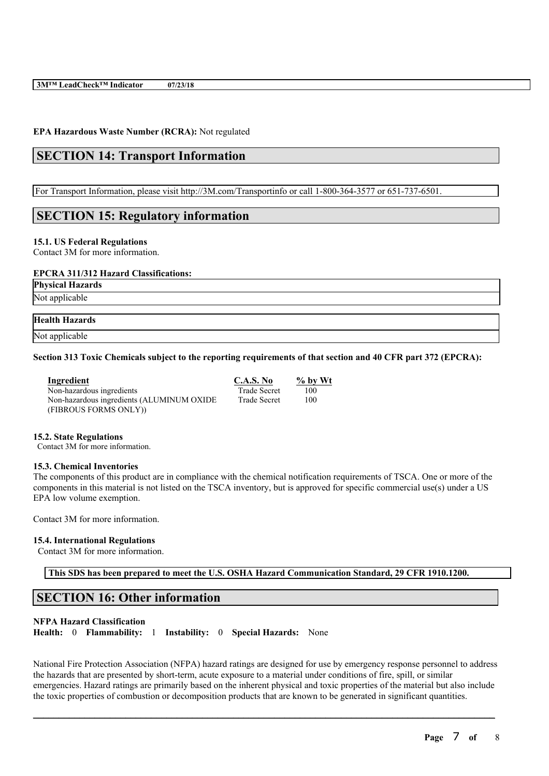# **EPA Hazardous Waste Number (RCRA):** Not regulated

# **SECTION 14: Transport Information**

For Transport Information, please visit http://3M.com/Transportinfo or call 1-800-364-3577 or 651-737-6501.

# **SECTION 15: Regulatory information**

#### **15.1. US Federal Regulations**

Contact 3M for more information.

#### **EPCRA 311/312 Hazard Classifications:**

**Physical Hazards**

Not applicable

# **Health Hazards**

Not applicable

# Section 313 Toxic Chemicals subject to the reporting requirements of that section and 40 CFR part 372 (EPCRA):

| Ingredient                                | C.A.S. No           | $\%$ by Wt |
|-------------------------------------------|---------------------|------------|
| Non-hazardous ingredients                 | <b>Trade Secret</b> | 100        |
| Non-hazardous ingredients (ALUMINUM OXIDE | <b>Trade Secret</b> | 100        |
| (FIBROUS FORMS ONLY))                     |                     |            |

#### **15.2. State Regulations**

Contact 3M for more information.

#### **15.3. Chemical Inventories**

The components of this product are in compliance with the chemical notification requirements of TSCA. One or more of the components in this material is not listed on the TSCA inventory, but is approved for specific commercial use(s) under a US EPA low volume exemption.

Contact 3M for more information.

#### **15.4. International Regulations**

Contact 3M for more information.

**This SDS has been prepared to meet the U.S. OSHA Hazard Communication Standard, 29 CFR 1910.1200.**

# **SECTION 16: Other information**

### **NFPA Hazard Classification**

**Health:** 0 **Flammability:** 1 **Instability:** 0 **Special Hazards:** None

National Fire Protection Association (NFPA) hazard ratings are designed for use by emergency response personnel to address the hazards that are presented by short-term, acute exposure to a material under conditions of fire, spill, or similar emergencies. Hazard ratings are primarily based on the inherent physical and toxic properties of the material but also include the toxic properties of combustion or decomposition products that are known to be generated in significant quantities.